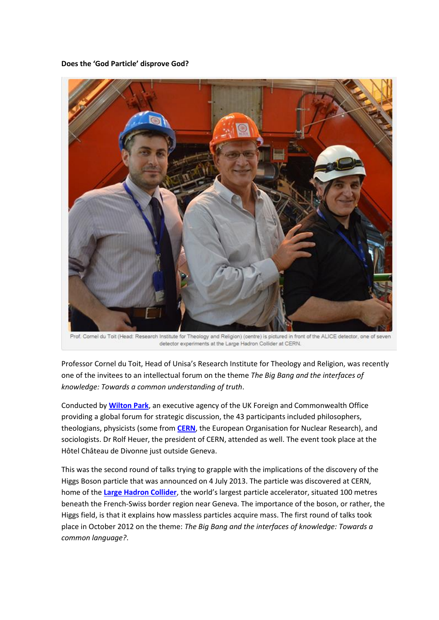**Does the 'God Particle' disprove God?**



Prof. Cornel du Toit (Head: Research Institute for Theology and Religion) (centre) is pictured in front of the ALICE detector, one of seven detector experiments at the Large Hadron Collider at CERN.

Professor Cornel du Toit, Head of Unisa's Research Institute for Theology and Religion, was recently one of the invitees to an intellectual forum on the theme *The Big Bang and the interfaces of knowledge: Towards a common understanding of truth*.

Conducted by **[Wilton Park](https://www.wiltonpark.org.uk/)**, an executive agency of the UK Foreign and Commonwealth Office providing a global forum for strategic discussion, the 43 participants included philosophers, theologians, physicists (some from **[CERN](http://home.web.cern.ch/about)**, the European Organisation for Nuclear Research), and sociologists. Dr Rolf Heuer, the president of CERN, attended as well. The event took place at the Hôtel Château de Divonne just outside Geneva.

This was the second round of talks trying to grapple with the implications of the discovery of the Higgs Boson particle that was announced on 4 July 2013. The particle was discovered at CERN, home of the **[Large Hadron Collider](http://home.web.cern.ch/topics/large-hadron-collider)**, the world's largest particle accelerator, situated 100 metres beneath the French-Swiss border region near Geneva. The importance of the boson, or rather, the Higgs field, is that it explains how massless particles acquire mass. The first round of talks took place in October 2012 on the theme: *The Big Bang and the interfaces of knowledge: Towards a common language?*.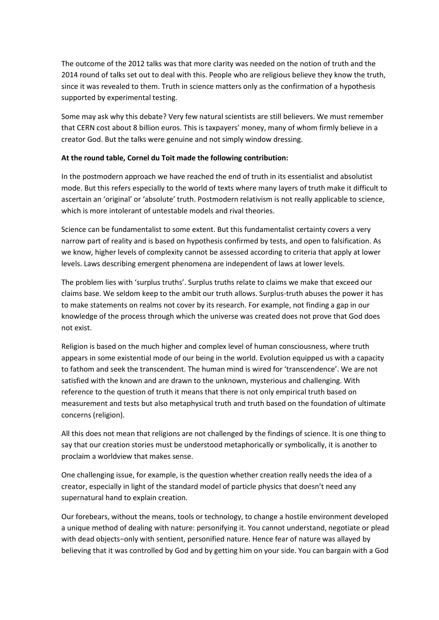The outcome of the 2012 talks was that more clarity was needed on the notion of truth and the 2014 round of talks set out to deal with this. People who are religious believe they know the truth, since it was revealed to them. Truth in science matters only as the confirmation of a hypothesis supported by experimental testing.

Some may ask why this debate? Very few natural scientists are still believers. We must remember that CERN cost about 8 billion euros. This is taxpayers' money, many of whom firmly believe in a creator God. But the talks were genuine and not simply window dressing.

## **At the round table, Cornel du Toit made the following contribution:**

In the postmodern approach we have reached the end of truth in its essentialist and absolutist mode. But this refers especially to the world of texts where many layers of truth make it difficult to ascertain an 'original' or 'absolute' truth. Postmodern relativism is not really applicable to science, which is more intolerant of untestable models and rival theories.

Science can be fundamentalist to some extent. But this fundamentalist certainty covers a very narrow part of reality and is based on hypothesis confirmed by tests, and open to falsification. As we know, higher levels of complexity cannot be assessed according to criteria that apply at lower levels. Laws describing emergent phenomena are independent of laws at lower levels.

The problem lies with 'surplus truths'. Surplus truths relate to claims we make that exceed our claims base. We seldom keep to the ambit our truth allows. Surplus-truth abuses the power it has to make statements on realms not cover by its research. For example, not finding a gap in our knowledge of the process through which the universe was created does not prove that God does not exist.

Religion is based on the much higher and complex level of human consciousness, where truth appears in some existential mode of our being in the world. Evolution equipped us with a capacity to fathom and seek the transcendent. The human mind is wired for 'transcendence'. We are not satisfied with the known and are drawn to the unknown, mysterious and challenging. With reference to the question of truth it means that there is not only empirical truth based on measurement and tests but also metaphysical truth and truth based on the foundation of ultimate concerns (religion).

All this does not mean that religions are not challenged by the findings of science. It is one thing to say that our creation stories must be understood metaphorically or symbolically, it is another to proclaim a worldview that makes sense.

One challenging issue, for example, is the question whether creation really needs the idea of a creator, especially in light of the standard model of particle physics that doesn't need any supernatural hand to explain creation.

Our forebears, without the means, tools or technology, to change a hostile environment developed a unique method of dealing with nature: personifying it. You cannot understand, negotiate or plead with dead objects−only with sentient, personified nature. Hence fear of nature was allayed by believing that it was controlled by God and by getting him on your side. You can bargain with a God